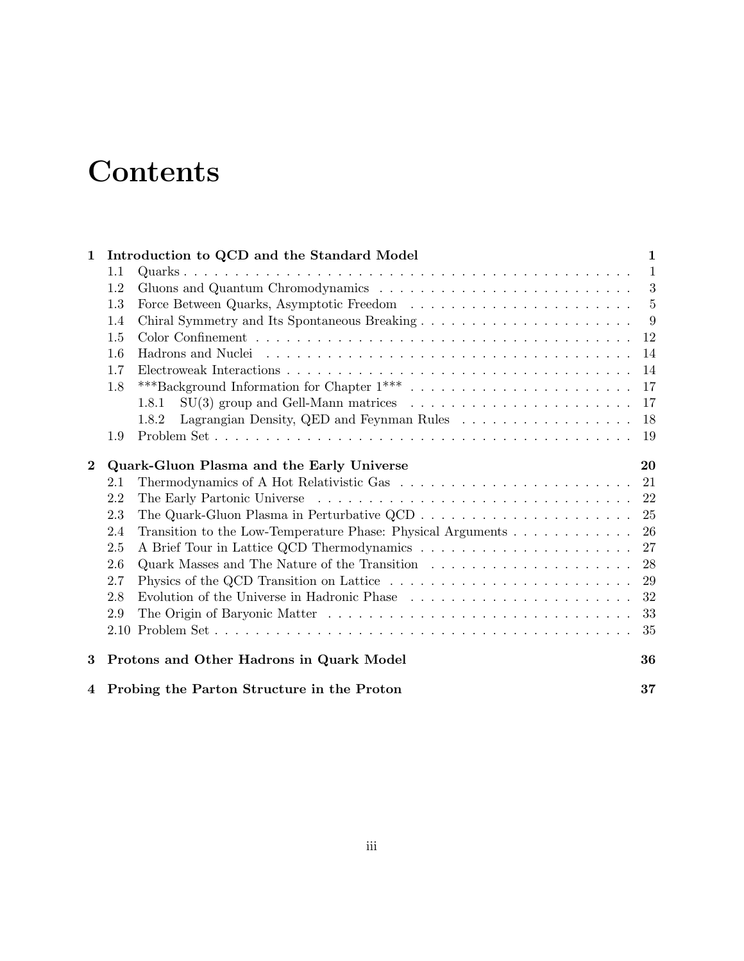# **Contents**

| $\mathbf{1}$             |                                                    | Introduction to QCD and the Standard Model<br>1                                                |              |  |  |  |  |     |       |     |
|--------------------------|----------------------------------------------------|------------------------------------------------------------------------------------------------|--------------|--|--|--|--|-----|-------|-----|
|                          | 1.1                                                |                                                                                                | $\mathbf{1}$ |  |  |  |  |     |       |     |
|                          | 1.2                                                |                                                                                                | 3            |  |  |  |  |     |       |     |
|                          | 1.3                                                | -5                                                                                             |              |  |  |  |  |     |       |     |
|                          | 1.4                                                | -9                                                                                             |              |  |  |  |  |     |       |     |
| 1.5<br>1.6<br>1.7<br>1.8 |                                                    |                                                                                                |              |  |  |  |  |     |       |     |
|                          |                                                    |                                                                                                |              |  |  |  |  |     | 1.8.1 | 17  |
|                          |                                                    |                                                                                                |              |  |  |  |  |     | 1.8.2 | 18  |
|                          |                                                    |                                                                                                |              |  |  |  |  | 1.9 |       | -19 |
| $\mathbf{2}$             |                                                    | Quark-Gluon Plasma and the Early Universe<br>20                                                |              |  |  |  |  |     |       |     |
|                          | 2.1                                                |                                                                                                | 21           |  |  |  |  |     |       |     |
|                          | 2.2                                                |                                                                                                | 22           |  |  |  |  |     |       |     |
|                          | 2.3                                                |                                                                                                | 25           |  |  |  |  |     |       |     |
|                          | 2.4                                                |                                                                                                | 26           |  |  |  |  |     |       |     |
|                          | 2.5                                                | A Brief Tour in Lattice QCD Thermodynamics                                                     | 27           |  |  |  |  |     |       |     |
|                          | 2.6                                                |                                                                                                | 28           |  |  |  |  |     |       |     |
|                          | 2.7                                                | Physics of the QCD Transition on Lattice                                                       | 29           |  |  |  |  |     |       |     |
|                          | 2.8                                                | Evolution of the Universe in Hadronic Phase $\ldots \ldots \ldots \ldots \ldots \ldots \ldots$ | 32           |  |  |  |  |     |       |     |
|                          | 2.9                                                |                                                                                                | 33           |  |  |  |  |     |       |     |
|                          | 2.10                                               |                                                                                                | 35           |  |  |  |  |     |       |     |
| 3                        |                                                    | Protons and Other Hadrons in Quark Model                                                       | 36           |  |  |  |  |     |       |     |
|                          | 37<br>4 Probing the Parton Structure in the Proton |                                                                                                |              |  |  |  |  |     |       |     |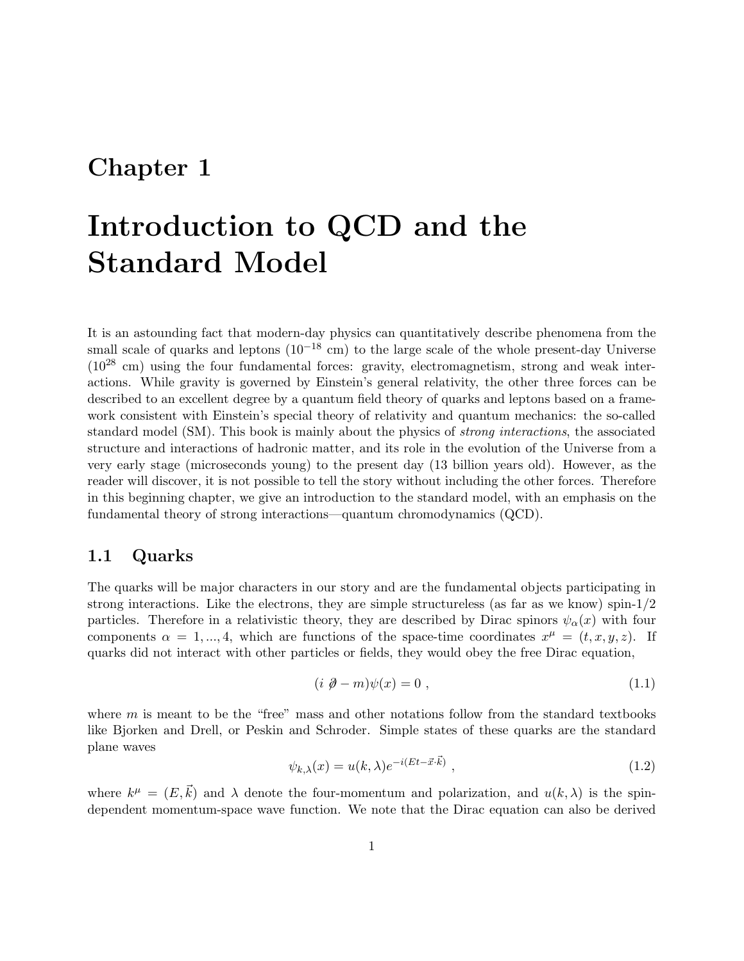## Chapter 1

## Introduction to QCD and the Standard Model

It is an astounding fact that modern-day physics can quantitatively describe phenomena from the small scale of quarks and leptons  $(10^{-18} \text{ cm})$  to the large scale of the whole present-day Universe  $(10^{28}$  cm) using the four fundamental forces: gravity, electromagnetism, strong and weak interactions. While gravity is governed by Einstein's general relativity, the other three forces can be described to an excellent degree by a quantum field theory of quarks and leptons based on a framework consistent with Einstein's special theory of relativity and quantum mechanics: the so-called standard model (SM). This book is mainly about the physics of strong interactions, the associated structure and interactions of hadronic matter, and its role in the evolution of the Universe from a very early stage (microseconds young) to the present day (13 billion years old). However, as the reader will discover, it is not possible to tell the story without including the other forces. Therefore in this beginning chapter, we give an introduction to the standard model, with an emphasis on the fundamental theory of strong interactions—quantum chromodynamics (QCD).

## 1.1 Quarks

The quarks will be major characters in our story and are the fundamental objects participating in strong interactions. Like the electrons, they are simple structureless (as far as we know) spin-1/2 particles. Therefore in a relativistic theory, they are described by Dirac spinors  $\psi_{\alpha}(x)$  with four components  $\alpha = 1, ..., 4$ , which are functions of the space-time coordinates  $x^{\mu} = (t, x, y, z)$ . If quarks did not interact with other particles or fields, they would obey the free Dirac equation,

$$
(i \ \mathcal{D} - m)\psi(x) = 0 , \qquad (1.1)
$$

where  $m$  is meant to be the "free" mass and other notations follow from the standard textbooks like Bjorken and Drell, or Peskin and Schroder. Simple states of these quarks are the standard plane waves

$$
\psi_{k,\lambda}(x) = u(k,\lambda)e^{-i(Et - \vec{x}\cdot\vec{k})}, \qquad (1.2)
$$

where  $k^{\mu} = (E, \vec{k})$  and  $\lambda$  denote the four-momentum and polarization, and  $u(k, \lambda)$  is the spindependent momentum-space wave function. We note that the Dirac equation can also be derived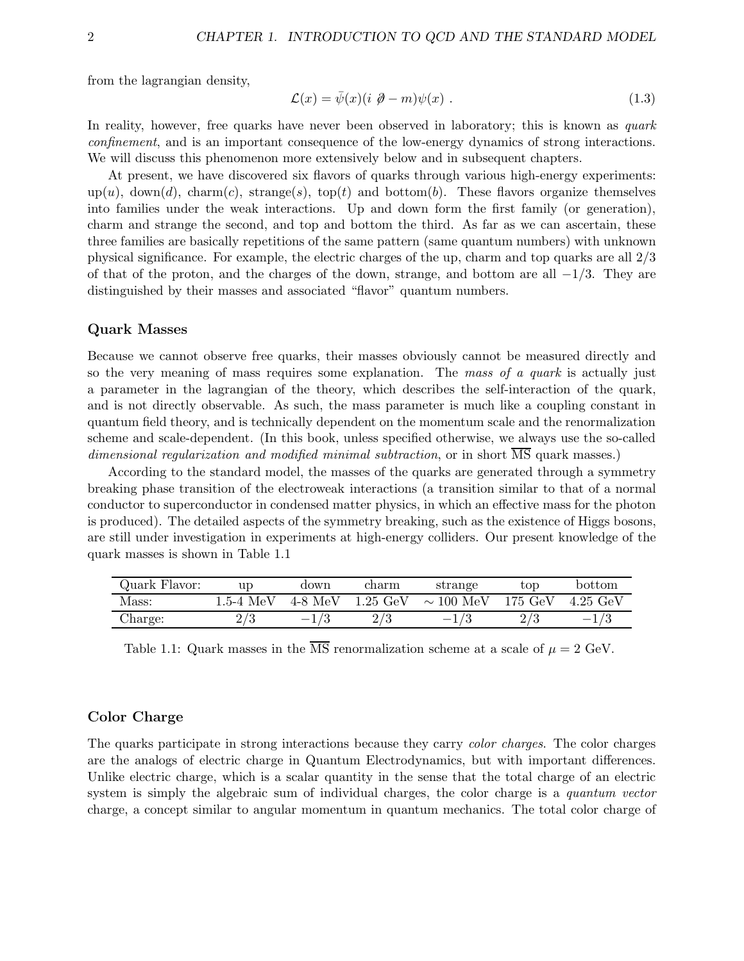from the lagrangian density,

$$
\mathcal{L}(x) = \bar{\psi}(x)(i \ \partial - m)\psi(x) \ . \tag{1.3}
$$

In reality, however, free quarks have never been observed in laboratory; this is known as quark confinement, and is an important consequence of the low-energy dynamics of strong interactions. We will discuss this phenomenon more extensively below and in subsequent chapters.

At present, we have discovered six flavors of quarks through various high-energy experiments:  $\text{up}(u)$ ,  $\text{down}(d)$ ,  $\text{charm}(c)$ ,  $\text{strange}(s)$ ,  $\text{top}(t)$  and  $\text{bottom}(b)$ . These flavors organize themselves into families under the weak interactions. Up and down form the first family (or generation), charm and strange the second, and top and bottom the third. As far as we can ascertain, these three families are basically repetitions of the same pattern (same quantum numbers) with unknown physical significance. For example, the electric charges of the up, charm and top quarks are all 2/3 of that of the proton, and the charges of the down, strange, and bottom are all  $-1/3$ . They are distinguished by their masses and associated "flavor" quantum numbers.

#### Quark Masses

Because we cannot observe free quarks, their masses obviously cannot be measured directly and so the very meaning of mass requires some explanation. The mass of a quark is actually just a parameter in the lagrangian of the theory, which describes the self-interaction of the quark, and is not directly observable. As such, the mass parameter is much like a coupling constant in quantum field theory, and is technically dependent on the momentum scale and the renormalization scheme and scale-dependent. (In this book, unless specified otherwise, we always use the so-called dimensional regularization and modified minimal subtraction, or in short MS quark masses.)

According to the standard model, the masses of the quarks are generated through a symmetry breaking phase transition of the electroweak interactions (a transition similar to that of a normal conductor to superconductor in condensed matter physics, in which an effective mass for the photon is produced). The detailed aspects of the symmetry breaking, such as the existence of Higgs bosons, are still under investigation in experiments at high-energy colliders. Our present knowledge of the quark masses is shown in Table 1.1

| Quark Flavor: | up.         | down      | charm              | strange              | $\rm{top}$        | bottom   |
|---------------|-------------|-----------|--------------------|----------------------|-------------------|----------|
| Mass:         | $1.5-4~MeV$ | $4-8$ MeV | $1.25 \text{ GeV}$ | $\sim 100~{\rm MeV}$ | $175 \text{ GeV}$ | 4.25 GeV |
| Charge:       | ∠.          |           |                    |                      |                   |          |

Table 1.1: Quark masses in the  $\overline{\text{MS}}$  renormalization scheme at a scale of  $\mu = 2$  GeV.

#### Color Charge

The quarks participate in strong interactions because they carry color charges. The color charges are the analogs of electric charge in Quantum Electrodynamics, but with important differences. Unlike electric charge, which is a scalar quantity in the sense that the total charge of an electric system is simply the algebraic sum of individual charges, the color charge is a quantum vector charge, a concept similar to angular momentum in quantum mechanics. The total color charge of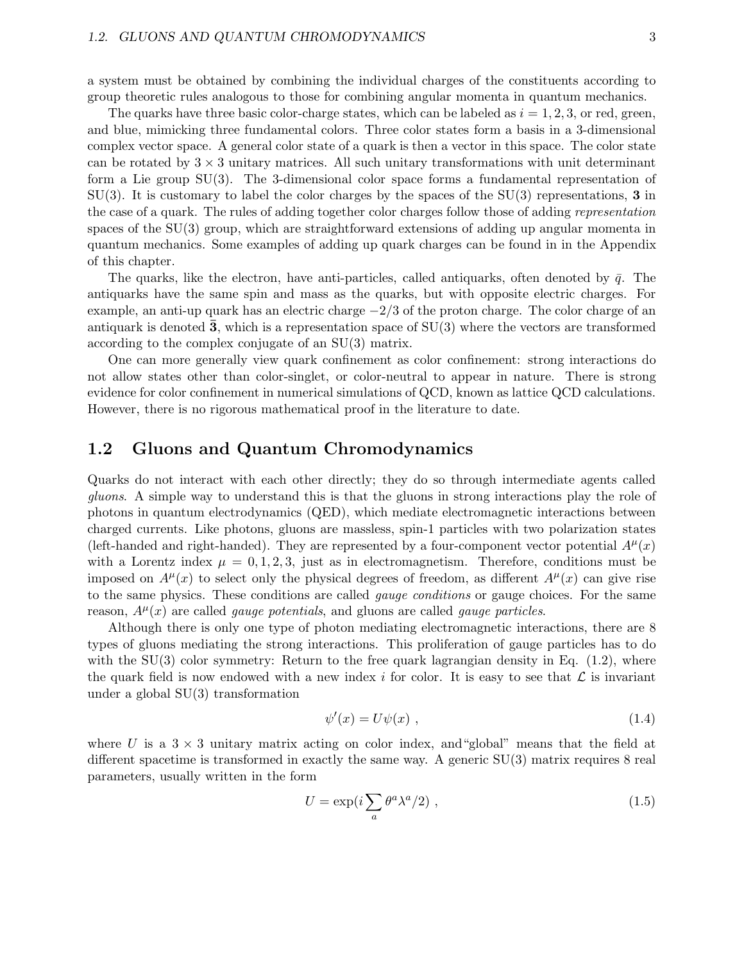a system must be obtained by combining the individual charges of the constituents according to group theoretic rules analogous to those for combining angular momenta in quantum mechanics.

The quarks have three basic color-charge states, which can be labeled as  $i = 1, 2, 3$ , or red, green, and blue, mimicking three fundamental colors. Three color states form a basis in a 3-dimensional complex vector space. A general color state of a quark is then a vector in this space. The color state can be rotated by  $3 \times 3$  unitary matrices. All such unitary transformations with unit determinant form a Lie group SU(3). The 3-dimensional color space forms a fundamental representation of  $SU(3)$ . It is customary to label the color charges by the spaces of the  $SU(3)$  representations, 3 in the case of a quark. The rules of adding together color charges follow those of adding representation spaces of the SU(3) group, which are straightforward extensions of adding up angular momenta in quantum mechanics. Some examples of adding up quark charges can be found in in the Appendix of this chapter.

The quarks, like the electron, have anti-particles, called antiquarks, often denoted by  $\bar{q}$ . The antiquarks have the same spin and mass as the quarks, but with opposite electric charges. For example, an anti-up quark has an electric charge  $-2/3$  of the proton charge. The color charge of an antiquark is denoted  $\overline{3}$ , which is a representation space of SU(3) where the vectors are transformed according to the complex conjugate of an SU(3) matrix.

One can more generally view quark confinement as color confinement: strong interactions do not allow states other than color-singlet, or color-neutral to appear in nature. There is strong evidence for color confinement in numerical simulations of QCD, known as lattice QCD calculations. However, there is no rigorous mathematical proof in the literature to date.

## 1.2 Gluons and Quantum Chromodynamics

Quarks do not interact with each other directly; they do so through intermediate agents called gluons. A simple way to understand this is that the gluons in strong interactions play the role of photons in quantum electrodynamics (QED), which mediate electromagnetic interactions between charged currents. Like photons, gluons are massless, spin-1 particles with two polarization states (left-handed and right-handed). They are represented by a four-component vector potential  $A^{\mu}(x)$ with a Lorentz index  $\mu = 0, 1, 2, 3$ , just as in electromagnetism. Therefore, conditions must be imposed on  $A^{\mu}(x)$  to select only the physical degrees of freedom, as different  $A^{\mu}(x)$  can give rise to the same physics. These conditions are called *gauge conditions* or gauge choices. For the same reason,  $A^{\mu}(x)$  are called *gauge potentials*, and gluons are called *gauge particles*.

Although there is only one type of photon mediating electromagnetic interactions, there are 8 types of gluons mediating the strong interactions. This proliferation of gauge particles has to do with the  $SU(3)$  color symmetry: Return to the free quark lagrangian density in Eq.  $(1.2)$ , where the quark field is now endowed with a new index i for color. It is easy to see that  $\mathcal L$  is invariant under a global SU(3) transformation

$$
\psi'(x) = U\psi(x) \tag{1.4}
$$

where U is a  $3 \times 3$  unitary matrix acting on color index, and "global" means that the field at different spacetime is transformed in exactly the same way. A generic SU(3) matrix requires 8 real parameters, usually written in the form

$$
U = \exp\left(i \sum_{a} \theta^a \lambda^a / 2\right) \,,\tag{1.5}
$$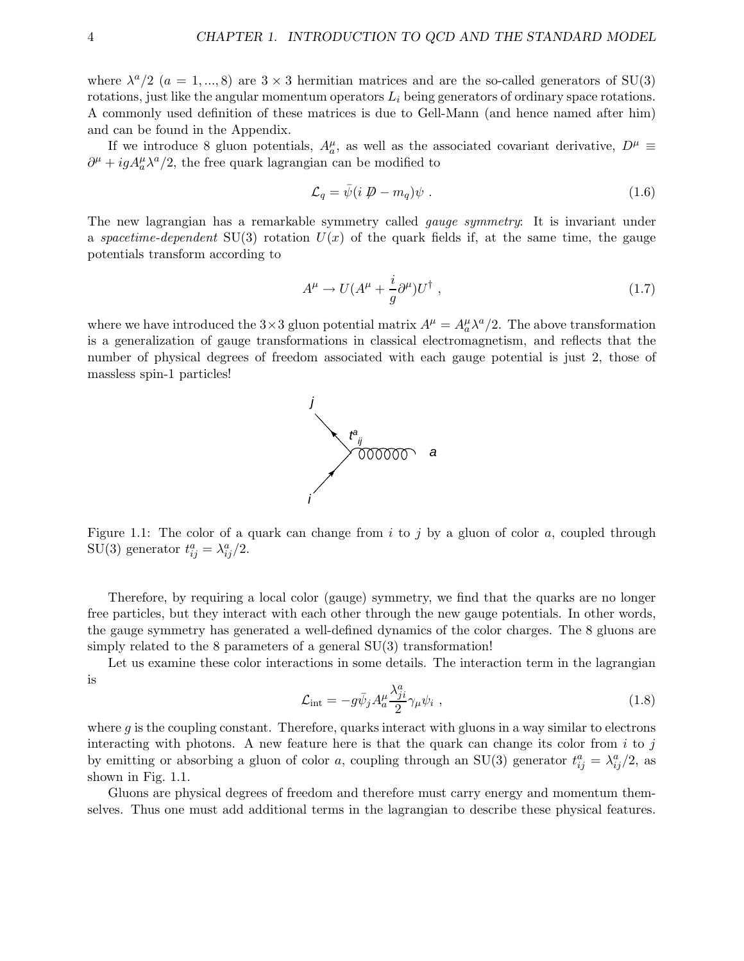where  $\lambda^a/2$  ( $a = 1, ..., 8$ ) are  $3 \times 3$  hermitian matrices and are the so-called generators of SU(3) rotations, just like the angular momentum operators  $L_i$  being generators of ordinary space rotations. A commonly used definition of these matrices is due to Gell-Mann (and hence named after him) and can be found in the Appendix.

If we introduce 8 gluon potentials,  $A_a^{\mu}$ , as well as the associated covariant derivative,  $D^{\mu} \equiv$  $\partial^{\mu} + igA^{\mu}_{a}\lambda^{a}/2$ , the free quark lagrangian can be modified to

$$
\mathcal{L}_q = \bar{\psi}(i \not\!\!D - m_q)\psi \ . \tag{1.6}
$$

The new lagrangian has a remarkable symmetry called gauge symmetry: It is invariant under a spacetime-dependent SU(3) rotation  $U(x)$  of the quark fields if, at the same time, the gauge potentials transform according to

$$
A^{\mu} \to U(A^{\mu} + \frac{i}{g}\partial^{\mu})U^{\dagger} , \qquad (1.7)
$$

where we have introduced the  $3 \times 3$  gluon potential matrix  $A^{\mu} = A^{\mu}_{a} \lambda^{a}/2$ . The above transformation is a generalization of gauge transformations in classical electromagnetism, and reflects that the number of physical degrees of freedom associated with each gauge potential is just 2, those of massless spin-1 particles!



Figure 1.1: The color of a quark can change from  $i$  to  $j$  by a gluon of color  $a$ , coupled through SU(3) generator  $t_{ij}^a = \lambda_{ij}^a/2$ .

Therefore, by requiring a local color (gauge) symmetry, we find that the quarks are no longer free particles, but they interact with each other through the new gauge potentials. In other words, the gauge symmetry has generated a well-defined dynamics of the color charges. The 8 gluons are simply related to the 8 parameters of a general SU(3) transformation!

Let us examine these color interactions in some details. The interaction term in the lagrangian is

$$
\mathcal{L}_{int} = -g\bar{\psi}_j A_a^\mu \frac{\lambda_{ji}^a}{2} \gamma_\mu \psi_i , \qquad (1.8)
$$

where  $g$  is the coupling constant. Therefore, quarks interact with gluons in a way similar to electrons interacting with photons. A new feature here is that the quark can change its color from  $i$  to j by emitting or absorbing a gluon of color a, coupling through an SU(3) generator  $t_{ij}^a = \lambda_{ij}^a/2$ , as shown in Fig. 1.1.

Gluons are physical degrees of freedom and therefore must carry energy and momentum themselves. Thus one must add additional terms in the lagrangian to describe these physical features.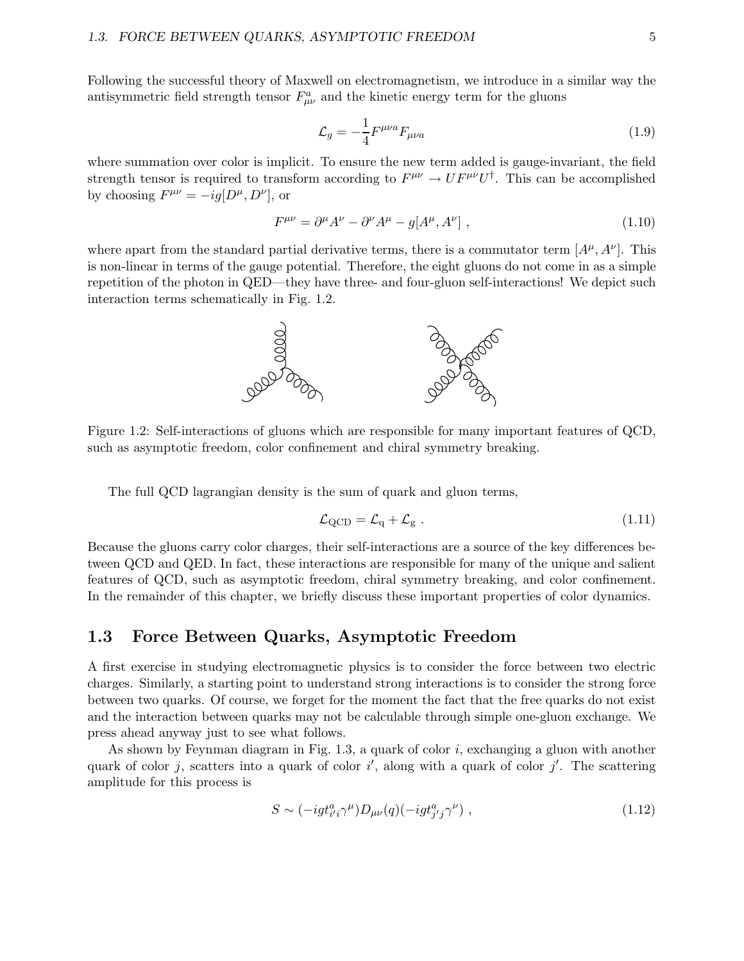Following the successful theory of Maxwell on electromagnetism, we introduce in a similar way the antisymmetric field strength tensor  $F^a_{\mu\nu}$  and the kinetic energy term for the gluons

$$
\mathcal{L}_g = -\frac{1}{4} F^{\mu\nu a} F_{\mu\nu a} \tag{1.9}
$$

where summation over color is implicit. To ensure the new term added is gauge-invariant, the field strength tensor is required to transform according to  $F^{\mu\nu} \to U F^{\mu\nu} U^{\dagger}$ . This can be accomplished by choosing  $F^{\mu\nu} = -ig[D^{\mu}, D^{\nu}],$  or

$$
F^{\mu\nu} = \partial^{\mu}A^{\nu} - \partial^{\nu}A^{\mu} - g[A^{\mu}, A^{\nu}], \qquad (1.10)
$$

where apart from the standard partial derivative terms, there is a commutator term  $[A^{\mu}, A^{\nu}]$ . This is non-linear in terms of the gauge potential. Therefore, the eight gluons do not come in as a simple repetition of the photon in QED—they have three- and four-gluon self-interactions! We depict such interaction terms schematically in Fig. 1.2.



Figure 1.2: Self-interactions of gluons which are responsible for many important features of QCD, such as asymptotic freedom, color confinement and chiral symmetry breaking.

The full QCD lagrangian density is the sum of quark and gluon terms,

$$
\mathcal{L}_{\text{QCD}} = \mathcal{L}_{\text{q}} + \mathcal{L}_{\text{g}} \ . \tag{1.11}
$$

Because the gluons carry color charges, their self-interactions are a source of the key differences between QCD and QED. In fact, these interactions are responsible for many of the unique and salient features of QCD, such as asymptotic freedom, chiral symmetry breaking, and color confinement. In the remainder of this chapter, we briefly discuss these important properties of color dynamics.

## 1.3 Force Between Quarks, Asymptotic Freedom

A first exercise in studying electromagnetic physics is to consider the force between two electric charges. Similarly, a starting point to understand strong interactions is to consider the strong force between two quarks. Of course, we forget for the moment the fact that the free quarks do not exist and the interaction between quarks may not be calculable through simple one-gluon exchange. We press ahead anyway just to see what follows.

As shown by Feynman diagram in Fig.  $1.3$ , a quark of color i, exchanging a gluon with another quark of color j, scatters into a quark of color  $i'$ , along with a quark of color j'. The scattering amplitude for this process is

$$
S \sim (-ig t_{i'i}^a \gamma^\mu) D_{\mu\nu}(q) (-ig t_{j'j}^a \gamma^\nu) , \qquad (1.12)
$$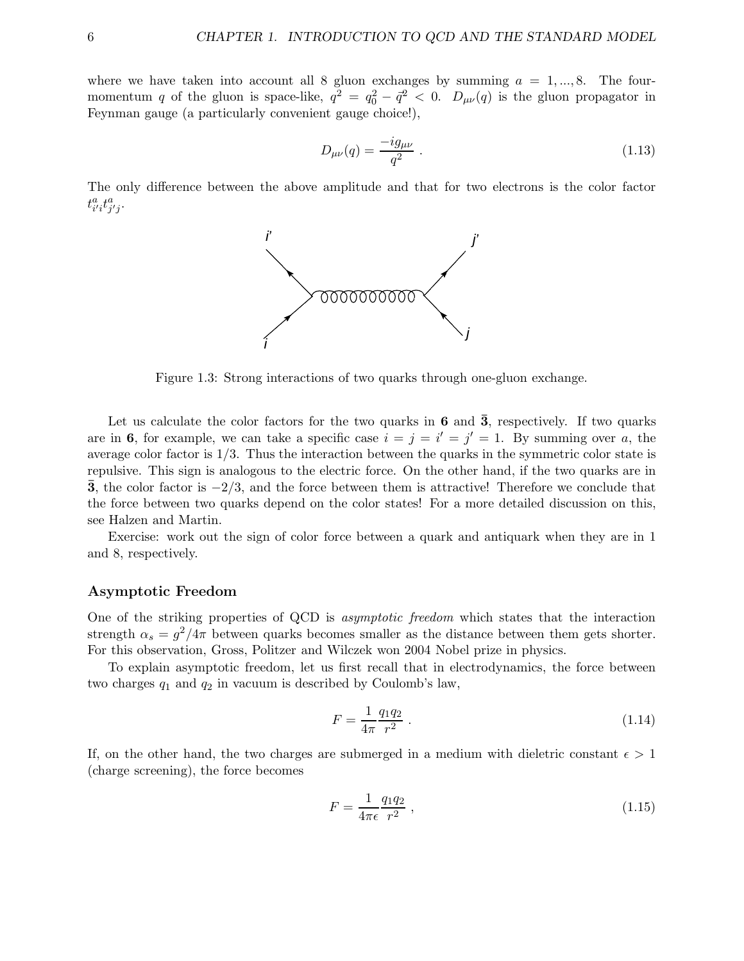where we have taken into account all 8 gluon exchanges by summing  $a = 1, ..., 8$ . The fourmomentum q of the gluon is space-like,  $q^2 = q_0^2 - \bar{q}^2 < 0$ .  $D_{\mu\nu}(q)$  is the gluon propagator in Feynman gauge (a particularly convenient gauge choice!),

$$
D_{\mu\nu}(q) = \frac{-ig_{\mu\nu}}{q^2} \ . \tag{1.13}
$$

The only difference between the above amplitude and that for two electrons is the color factor  $t_{i'i}^at_{j'j}^a$ .



Figure 1.3: Strong interactions of two quarks through one-gluon exchange.

Let us calculate the color factors for the two quarks in  $6$  and  $\overline{3}$ , respectively. If two quarks are in 6, for example, we can take a specific case  $i = j = i' = j' = 1$ . By summing over a, the average color factor is 1/3. Thus the interaction between the quarks in the symmetric color state is repulsive. This sign is analogous to the electric force. On the other hand, if the two quarks are in  $\overline{3}$ , the color factor is  $-2/3$ , and the force between them is attractive! Therefore we conclude that the force between two quarks depend on the color states! For a more detailed discussion on this, see Halzen and Martin.

Exercise: work out the sign of color force between a quark and antiquark when they are in 1 and 8, respectively.

#### Asymptotic Freedom

One of the striking properties of QCD is asymptotic freedom which states that the interaction strength  $\alpha_s = g^2/4\pi$  between quarks becomes smaller as the distance between them gets shorter. For this observation, Gross, Politzer and Wilczek won 2004 Nobel prize in physics.

To explain asymptotic freedom, let us first recall that in electrodynamics, the force between two charges  $q_1$  and  $q_2$  in vacuum is described by Coulomb's law,

$$
F = \frac{1}{4\pi} \frac{q_1 q_2}{r^2} \tag{1.14}
$$

If, on the other hand, the two charges are submerged in a medium with dieletric constant  $\epsilon > 1$ (charge screening), the force becomes

$$
F = \frac{1}{4\pi\epsilon} \frac{q_1 q_2}{r^2} \,,\tag{1.15}
$$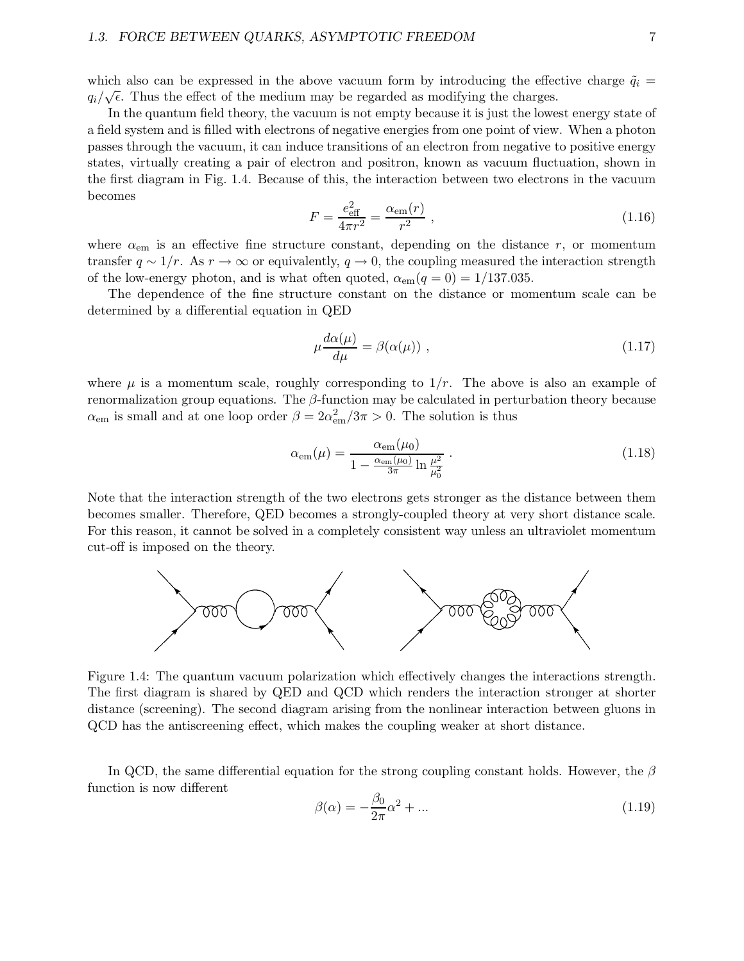#### 1.3. FORCE BETWEEN QUARKS, ASYMPTOTIC FREEDOM 7

which also can be expressed in the above vacuum form by introducing the effective charge  $\tilde{q}_i$  =  $q_i/\sqrt{\epsilon}$ . Thus the effect of the medium may be regarded as modifying the charges.

In the quantum field theory, the vacuum is not empty because it is just the lowest energy state of a field system and is filled with electrons of negative energies from one point of view. When a photon passes through the vacuum, it can induce transitions of an electron from negative to positive energy states, virtually creating a pair of electron and positron, known as vacuum fluctuation, shown in the first diagram in Fig. 1.4. Because of this, the interaction between two electrons in the vacuum becomes

$$
F = \frac{e_{\text{eff}}^2}{4\pi r^2} = \frac{\alpha_{\text{em}}(r)}{r^2} \,,\tag{1.16}
$$

where  $\alpha_{\rm em}$  is an effective fine structure constant, depending on the distance r, or momentum transfer  $q \sim 1/r$ . As  $r \to \infty$  or equivalently,  $q \to 0$ , the coupling measured the interaction strength of the low-energy photon, and is what often quoted,  $\alpha_{em}(q=0) = 1/137.035$ .

The dependence of the fine structure constant on the distance or momentum scale can be determined by a differential equation in QED

$$
\mu \frac{d\alpha(\mu)}{d\mu} = \beta(\alpha(\mu)), \qquad (1.17)
$$

where  $\mu$  is a momentum scale, roughly corresponding to  $1/r$ . The above is also an example of renormalization group equations. The  $\beta$ -function may be calculated in perturbation theory because  $\alpha_{\rm em}$  is small and at one loop order  $\beta = 2\alpha_{\rm em}^2/3\pi > 0$ . The solution is thus

$$
\alpha_{\rm em}(\mu) = \frac{\alpha_{\rm em}(\mu_0)}{1 - \frac{\alpha_{\rm em}(\mu_0)}{3\pi} \ln \frac{\mu^2}{\mu_0^2}} \,. \tag{1.18}
$$

Note that the interaction strength of the two electrons gets stronger as the distance between them becomes smaller. Therefore, QED becomes a strongly-coupled theory at very short distance scale. For this reason, it cannot be solved in a completely consistent way unless an ultraviolet momentum cut-off is imposed on the theory.



Figure 1.4: The quantum vacuum polarization which effectively changes the interactions strength. The first diagram is shared by QED and QCD which renders the interaction stronger at shorter distance (screening). The second diagram arising from the nonlinear interaction between gluons in QCD has the antiscreening effect, which makes the coupling weaker at short distance.

In QCD, the same differential equation for the strong coupling constant holds. However, the  $\beta$ function is now different

$$
\beta(\alpha) = -\frac{\beta_0}{2\pi}\alpha^2 + \dots \tag{1.19}
$$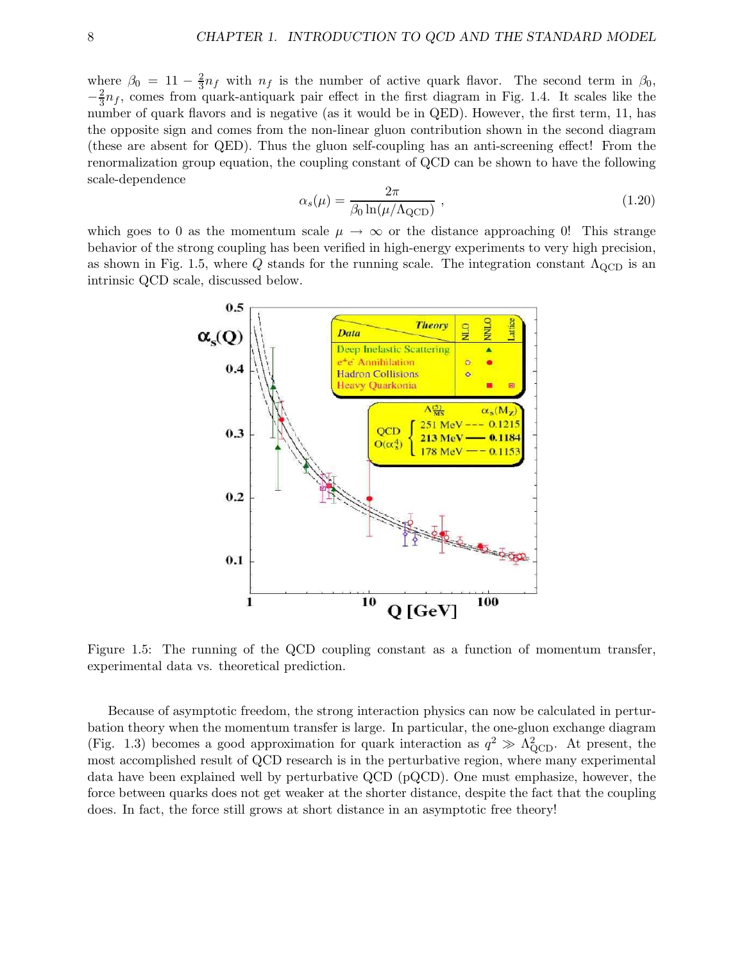where  $\beta_0 = 11 - \frac{2}{3}$  $\frac{2}{3}n_f$  with  $n_f$  is the number of active quark flavor. The second term in  $\beta_0$ ,  $-\frac{2}{3}n_f$ , comes from quark-antiquark pair effect in the first diagram in Fig. 1.4. It scales like the number of quark flavors and is negative (as it would be in QED). However, the first term, 11, has the opposite sign and comes from the non-linear gluon contribution shown in the second diagram (these are absent for QED). Thus the gluon self-coupling has an anti-screening effect! From the renormalization group equation, the coupling constant of QCD can be shown to have the following scale-dependence

$$
\alpha_s(\mu) = \frac{2\pi}{\beta_0 \ln(\mu/\Lambda_{\text{QCD}})} , \qquad (1.20)
$$

which goes to 0 as the momentum scale  $\mu \to \infty$  or the distance approaching 0! This strange behavior of the strong coupling has been verified in high-energy experiments to very high precision, as shown in Fig. 1.5, where Q stands for the running scale. The integration constant  $\Lambda_{\text{QCD}}$  is an intrinsic QCD scale, discussed below.



Figure 1.5: The running of the QCD coupling constant as a function of momentum transfer, experimental data vs. theoretical prediction.

Because of asymptotic freedom, the strong interaction physics can now be calculated in perturbation theory when the momentum transfer is large. In particular, the one-gluon exchange diagram (Fig. 1.3) becomes a good approximation for quark interaction as  $q^2 \gg \Lambda_{\rm QCD}^2$ . At present, the most accomplished result of QCD research is in the perturbative region, where many experimental data have been explained well by perturbative QCD (pQCD). One must emphasize, however, the force between quarks does not get weaker at the shorter distance, despite the fact that the coupling does. In fact, the force still grows at short distance in an asymptotic free theory!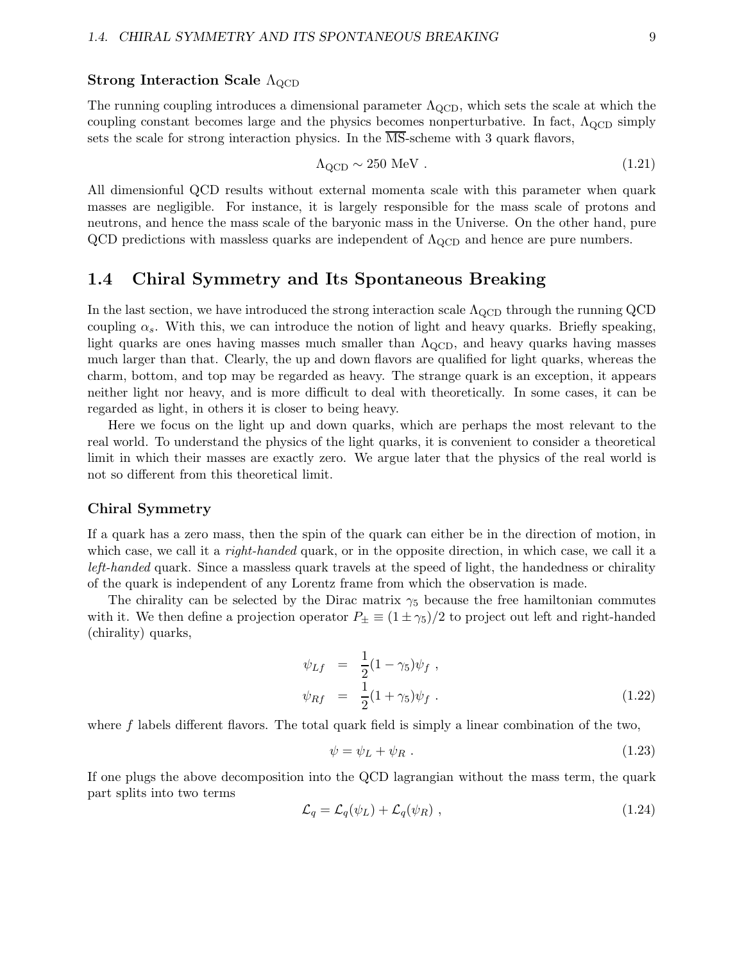#### Strong Interaction Scale  $\Lambda_{\rm QCD}$

The running coupling introduces a dimensional parameter  $\Lambda_{\rm QCD}$ , which sets the scale at which the coupling constant becomes large and the physics becomes nonperturbative. In fact,  $\Lambda_{\text{QCD}}$  simply sets the scale for strong interaction physics. In the  $\overline{\text{MS}}$ -scheme with 3 quark flavors,

$$
\Lambda_{\rm QCD} \sim 250 \text{ MeV}. \tag{1.21}
$$

All dimensionful QCD results without external momenta scale with this parameter when quark masses are negligible. For instance, it is largely responsible for the mass scale of protons and neutrons, and hence the mass scale of the baryonic mass in the Universe. On the other hand, pure QCD predictions with massless quarks are independent of  $\Lambda_{\rm QCD}$  and hence are pure numbers.

## 1.4 Chiral Symmetry and Its Spontaneous Breaking

In the last section, we have introduced the strong interaction scale  $\Lambda_{\rm QCD}$  through the running QCD coupling  $\alpha_s$ . With this, we can introduce the notion of light and heavy quarks. Briefly speaking, light quarks are ones having masses much smaller than  $\Lambda_{\text{QCD}}$ , and heavy quarks having masses much larger than that. Clearly, the up and down flavors are qualified for light quarks, whereas the charm, bottom, and top may be regarded as heavy. The strange quark is an exception, it appears neither light nor heavy, and is more difficult to deal with theoretically. In some cases, it can be regarded as light, in others it is closer to being heavy.

Here we focus on the light up and down quarks, which are perhaps the most relevant to the real world. To understand the physics of the light quarks, it is convenient to consider a theoretical limit in which their masses are exactly zero. We argue later that the physics of the real world is not so different from this theoretical limit.

#### Chiral Symmetry

If a quark has a zero mass, then the spin of the quark can either be in the direction of motion, in which case, we call it a *right-handed* quark, or in the opposite direction, in which case, we call it a left-handed quark. Since a massless quark travels at the speed of light, the handedness or chirality of the quark is independent of any Lorentz frame from which the observation is made.

The chirality can be selected by the Dirac matrix  $\gamma_5$  because the free hamiltonian commutes with it. We then define a projection operator  $P_{\pm} \equiv (1 \pm \gamma_5)/2$  to project out left and right-handed (chirality) quarks,

$$
\psi_{Lf} = \frac{1}{2}(1 - \gamma_5)\psi_f ,
$$
  
\n
$$
\psi_{Rf} = \frac{1}{2}(1 + \gamma_5)\psi_f .
$$
\n(1.22)

where  $f$  labels different flavors. The total quark field is simply a linear combination of the two,

$$
\psi = \psi_L + \psi_R \tag{1.23}
$$

If one plugs the above decomposition into the QCD lagrangian without the mass term, the quark part splits into two terms

$$
\mathcal{L}_q = \mathcal{L}_q(\psi_L) + \mathcal{L}_q(\psi_R) \tag{1.24}
$$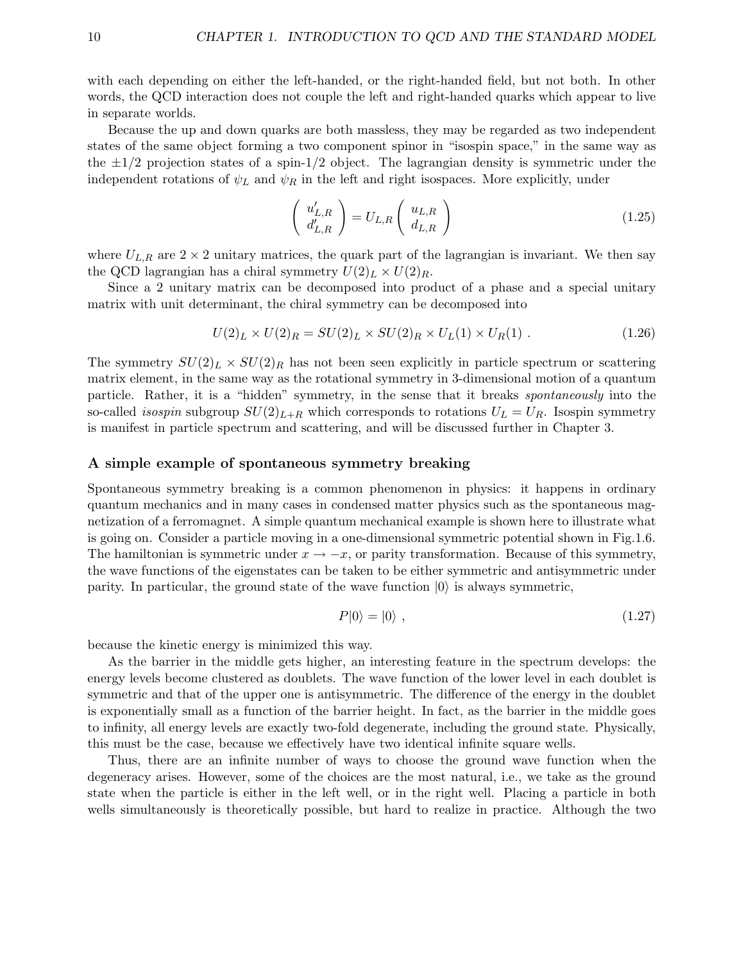with each depending on either the left-handed, or the right-handed field, but not both. In other words, the QCD interaction does not couple the left and right-handed quarks which appear to live in separate worlds.

Because the up and down quarks are both massless, they may be regarded as two independent states of the same object forming a two component spinor in "isospin space," in the same way as the  $\pm 1/2$  projection states of a spin-1/2 object. The lagrangian density is symmetric under the independent rotations of  $\psi_L$  and  $\psi_R$  in the left and right isospaces. More explicitly, under

$$
\begin{pmatrix} u'_{L,R} \\ d'_{L,R} \end{pmatrix} = U_{L,R} \begin{pmatrix} u_{L,R} \\ d_{L,R} \end{pmatrix}
$$
 (1.25)

where  $U_{L,R}$  are  $2 \times 2$  unitary matrices, the quark part of the lagrangian is invariant. We then say the QCD lagrangian has a chiral symmetry  $U(2)_L \times U(2)_R$ .

Since a 2 unitary matrix can be decomposed into product of a phase and a special unitary matrix with unit determinant, the chiral symmetry can be decomposed into

$$
U(2)_L \times U(2)_R = SU(2)_L \times SU(2)_R \times U_L(1) \times U_R(1) . \tag{1.26}
$$

The symmetry  $SU(2)_L \times SU(2)_R$  has not been seen explicitly in particle spectrum or scattering matrix element, in the same way as the rotational symmetry in 3-dimensional motion of a quantum particle. Rather, it is a "hidden" symmetry, in the sense that it breaks spontaneously into the so-called *isospin* subgroup  $SU(2)_{L+R}$  which corresponds to rotations  $U_L = U_R$ . Isospin symmetry is manifest in particle spectrum and scattering, and will be discussed further in Chapter 3.

#### A simple example of spontaneous symmetry breaking

Spontaneous symmetry breaking is a common phenomenon in physics: it happens in ordinary quantum mechanics and in many cases in condensed matter physics such as the spontaneous magnetization of a ferromagnet. A simple quantum mechanical example is shown here to illustrate what is going on. Consider a particle moving in a one-dimensional symmetric potential shown in Fig.1.6. The hamiltonian is symmetric under  $x \to -x$ , or parity transformation. Because of this symmetry, the wave functions of the eigenstates can be taken to be either symmetric and antisymmetric under parity. In particular, the ground state of the wave function  $|0\rangle$  is always symmetric,

$$
P|0\rangle = |0\rangle \t\t(1.27)
$$

because the kinetic energy is minimized this way.

As the barrier in the middle gets higher, an interesting feature in the spectrum develops: the energy levels become clustered as doublets. The wave function of the lower level in each doublet is symmetric and that of the upper one is antisymmetric. The difference of the energy in the doublet is exponentially small as a function of the barrier height. In fact, as the barrier in the middle goes to infinity, all energy levels are exactly two-fold degenerate, including the ground state. Physically, this must be the case, because we effectively have two identical infinite square wells.

Thus, there are an infinite number of ways to choose the ground wave function when the degeneracy arises. However, some of the choices are the most natural, i.e., we take as the ground state when the particle is either in the left well, or in the right well. Placing a particle in both wells simultaneously is theoretically possible, but hard to realize in practice. Although the two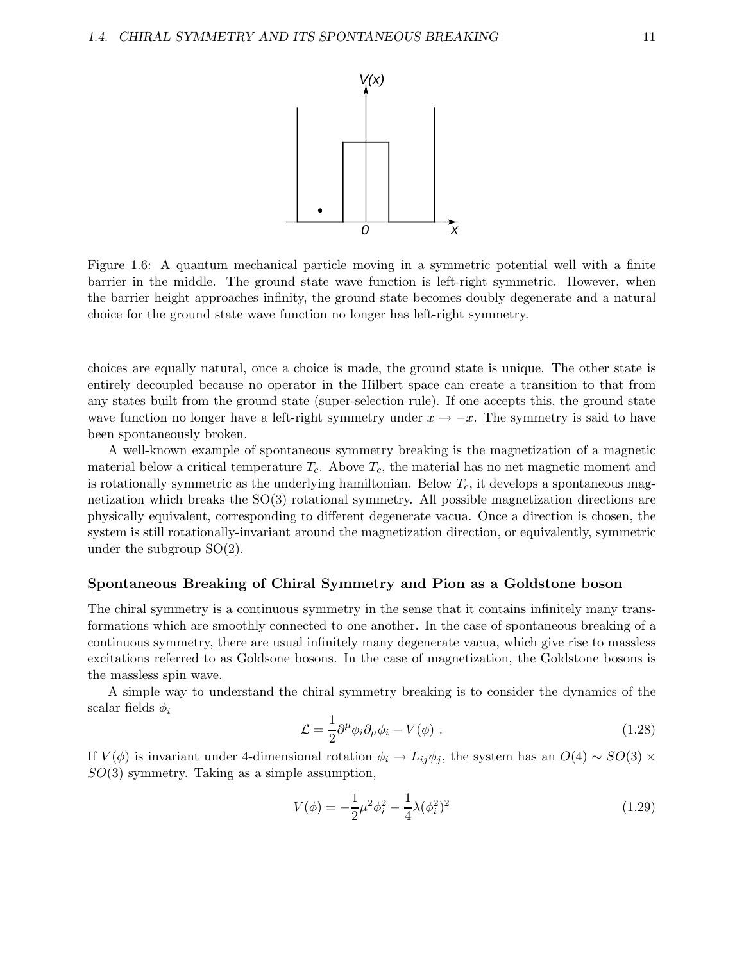

Figure 1.6: A quantum mechanical particle moving in a symmetric potential well with a finite barrier in the middle. The ground state wave function is left-right symmetric. However, when the barrier height approaches infinity, the ground state becomes doubly degenerate and a natural choice for the ground state wave function no longer has left-right symmetry.

choices are equally natural, once a choice is made, the ground state is unique. The other state is entirely decoupled because no operator in the Hilbert space can create a transition to that from any states built from the ground state (super-selection rule). If one accepts this, the ground state wave function no longer have a left-right symmetry under  $x \to -x$ . The symmetry is said to have been spontaneously broken.

A well-known example of spontaneous symmetry breaking is the magnetization of a magnetic material below a critical temperature  $T_c$ . Above  $T_c$ , the material has no net magnetic moment and is rotationally symmetric as the underlying hamiltonian. Below  $T_c$ , it develops a spontaneous magnetization which breaks the  $SO(3)$  rotational symmetry. All possible magnetization directions are physically equivalent, corresponding to different degenerate vacua. Once a direction is chosen, the system is still rotationally-invariant around the magnetization direction, or equivalently, symmetric under the subgroup  $SO(2)$ .

#### Spontaneous Breaking of Chiral Symmetry and Pion as a Goldstone boson

The chiral symmetry is a continuous symmetry in the sense that it contains infinitely many transformations which are smoothly connected to one another. In the case of spontaneous breaking of a continuous symmetry, there are usual infinitely many degenerate vacua, which give rise to massless excitations referred to as Goldsone bosons. In the case of magnetization, the Goldstone bosons is the massless spin wave.

A simple way to understand the chiral symmetry breaking is to consider the dynamics of the scalar fields  $\phi_i$ 

$$
\mathcal{L} = \frac{1}{2} \partial^{\mu} \phi_i \partial_{\mu} \phi_i - V(\phi) \tag{1.28}
$$

If  $V(\phi)$  is invariant under 4-dimensional rotation  $\phi_i \to L_{ij} \phi_j$ , the system has an  $O(4) \sim SO(3) \times$  $SO(3)$  symmetry. Taking as a simple assumption,

$$
V(\phi) = -\frac{1}{2}\mu^2 \phi_i^2 - \frac{1}{4}\lambda(\phi_i^2)^2
$$
\n(1.29)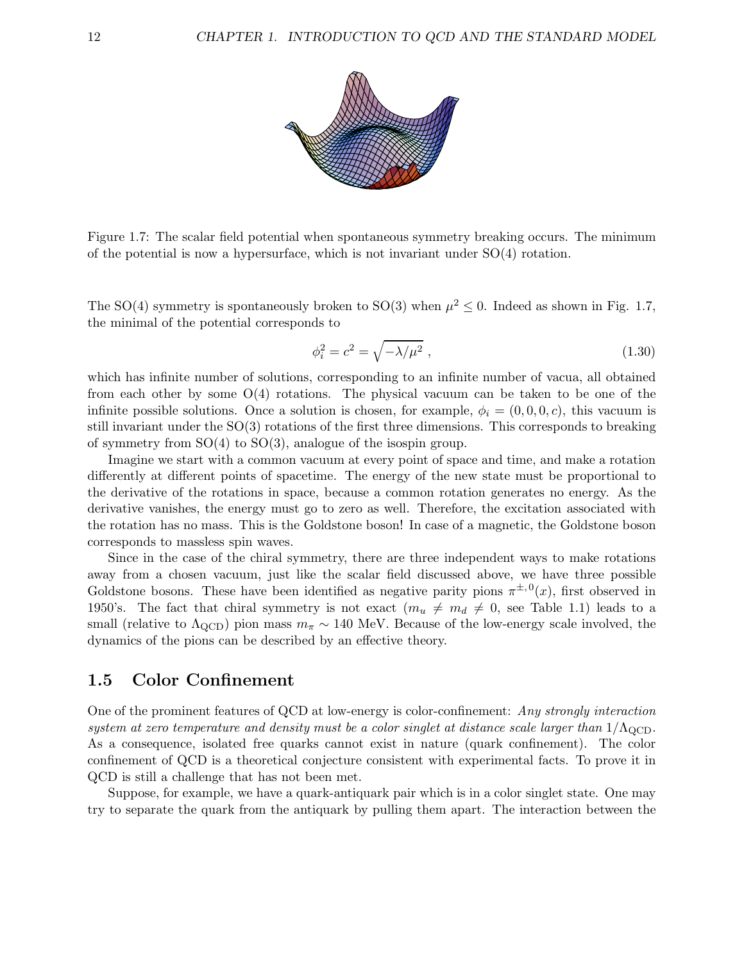

Figure 1.7: The scalar field potential when spontaneous symmetry breaking occurs. The minimum of the potential is now a hypersurface, which is not invariant under SO(4) rotation.

The SO(4) symmetry is spontaneously broken to SO(3) when  $\mu^2 \leq 0$ . Indeed as shown in Fig. 1.7, the minimal of the potential corresponds to

$$
\phi_i^2 = c^2 = \sqrt{-\lambda/\mu^2} \,,\tag{1.30}
$$

which has infinite number of solutions, corresponding to an infinite number of vacua, all obtained from each other by some  $O(4)$  rotations. The physical vacuum can be taken to be one of the infinite possible solutions. Once a solution is chosen, for example,  $\phi_i = (0, 0, 0, c)$ , this vacuum is still invariant under the SO(3) rotations of the first three dimensions. This corresponds to breaking of symmetry from SO(4) to SO(3), analogue of the isospin group.

Imagine we start with a common vacuum at every point of space and time, and make a rotation differently at different points of spacetime. The energy of the new state must be proportional to the derivative of the rotations in space, because a common rotation generates no energy. As the derivative vanishes, the energy must go to zero as well. Therefore, the excitation associated with the rotation has no mass. This is the Goldstone boson! In case of a magnetic, the Goldstone boson corresponds to massless spin waves.

Since in the case of the chiral symmetry, there are three independent ways to make rotations away from a chosen vacuum, just like the scalar field discussed above, we have three possible Goldstone bosons. These have been identified as negative parity pions  $\pi^{\pm,0}(x)$ , first observed in 1950's. The fact that chiral symmetry is not exact  $(m_u \neq m_d \neq 0,$  see Table 1.1) leads to a small (relative to  $\Lambda_{\rm QCD}$ ) pion mass  $m_{\pi} \sim 140$  MeV. Because of the low-energy scale involved, the dynamics of the pions can be described by an effective theory.

## 1.5 Color Confinement

One of the prominent features of QCD at low-energy is color-confinement: Any strongly interaction system at zero temperature and density must be a color singlet at distance scale larger than  $1/\Lambda_{\text{QCD}}$ . As a consequence, isolated free quarks cannot exist in nature (quark confinement). The color confinement of QCD is a theoretical conjecture consistent with experimental facts. To prove it in QCD is still a challenge that has not been met.

Suppose, for example, we have a quark-antiquark pair which is in a color singlet state. One may try to separate the quark from the antiquark by pulling them apart. The interaction between the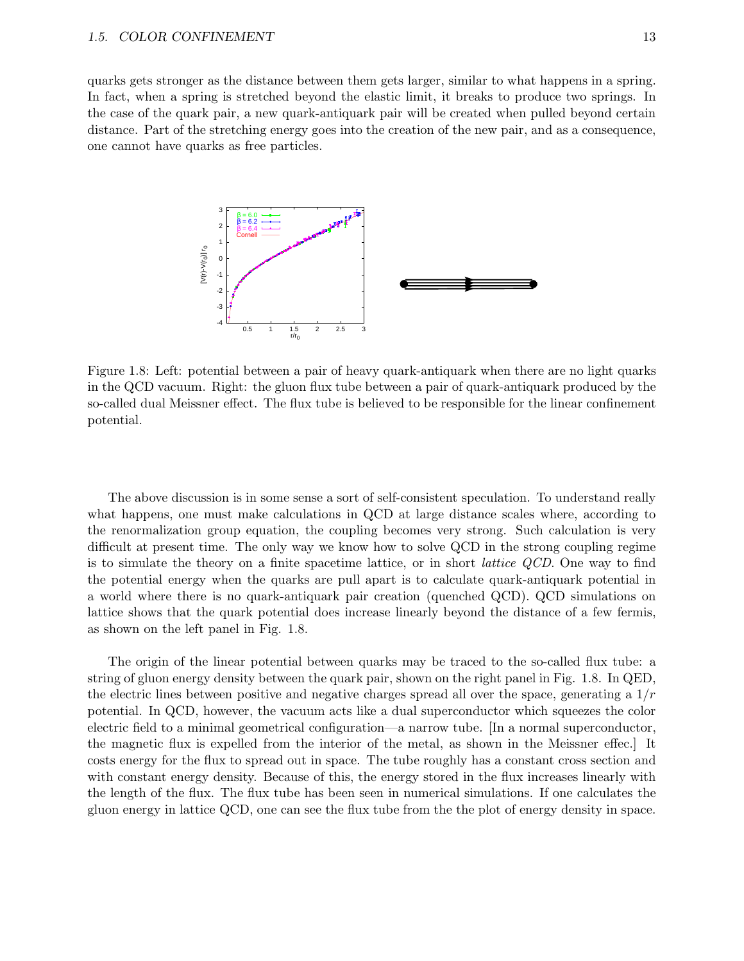quarks gets stronger as the distance between them gets larger, similar to what happens in a spring. In fact, when a spring is stretched beyond the elastic limit, it breaks to produce two springs. In the case of the quark pair, a new quark-antiquark pair will be created when pulled beyond certain distance. Part of the stretching energy goes into the creation of the new pair, and as a consequence, one cannot have quarks as free particles.



Figure 1.8: Left: potential between a pair of heavy quark-antiquark when there are no light quarks in the QCD vacuum. Right: the gluon flux tube between a pair of quark-antiquark produced by the so-called dual Meissner effect. The flux tube is believed to be responsible for the linear confinement potential.

The above discussion is in some sense a sort of self-consistent speculation. To understand really what happens, one must make calculations in QCD at large distance scales where, according to the renormalization group equation, the coupling becomes very strong. Such calculation is very difficult at present time. The only way we know how to solve QCD in the strong coupling regime is to simulate the theory on a finite spacetime lattice, or in short lattice QCD. One way to find the potential energy when the quarks are pull apart is to calculate quark-antiquark potential in a world where there is no quark-antiquark pair creation (quenched QCD). QCD simulations on lattice shows that the quark potential does increase linearly beyond the distance of a few fermis, as shown on the left panel in Fig. 1.8.

The origin of the linear potential between quarks may be traced to the so-called flux tube: a string of gluon energy density between the quark pair, shown on the right panel in Fig. 1.8. In QED, the electric lines between positive and negative charges spread all over the space, generating a  $1/r$ potential. In QCD, however, the vacuum acts like a dual superconductor which squeezes the color electric field to a minimal geometrical configuration—a narrow tube. [In a normal superconductor, the magnetic flux is expelled from the interior of the metal, as shown in the Meissner effec.] It costs energy for the flux to spread out in space. The tube roughly has a constant cross section and with constant energy density. Because of this, the energy stored in the flux increases linearly with the length of the flux. The flux tube has been seen in numerical simulations. If one calculates the gluon energy in lattice QCD, one can see the flux tube from the the plot of energy density in space.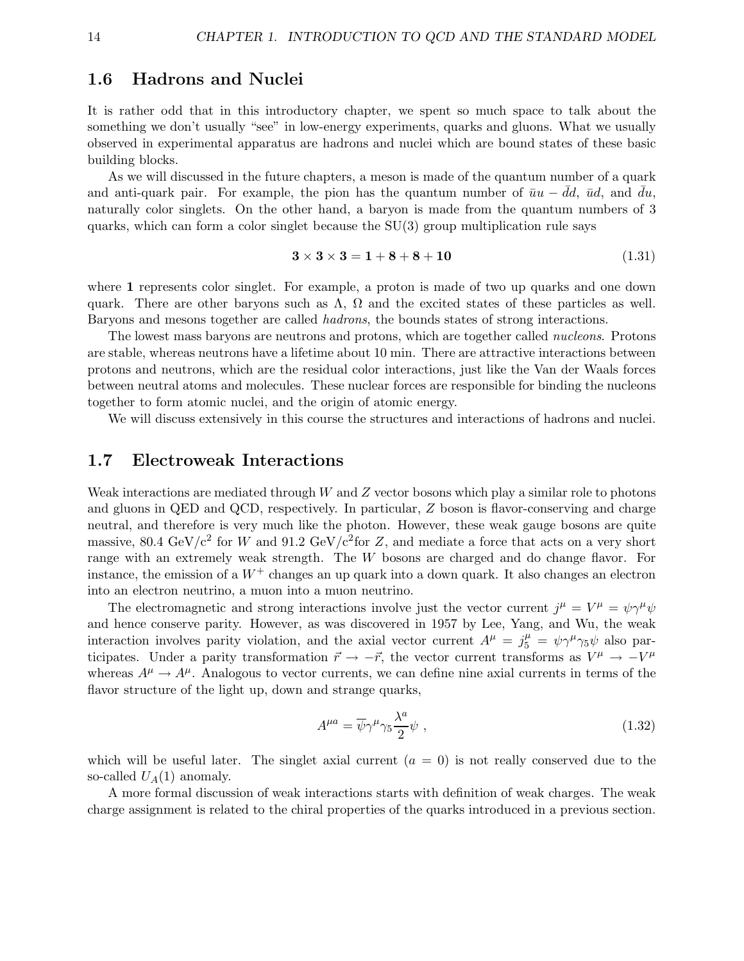### 1.6 Hadrons and Nuclei

It is rather odd that in this introductory chapter, we spent so much space to talk about the something we don't usually "see" in low-energy experiments, quarks and gluons. What we usually observed in experimental apparatus are hadrons and nuclei which are bound states of these basic building blocks.

As we will discussed in the future chapters, a meson is made of the quantum number of a quark and anti-quark pair. For example, the pion has the quantum number of  $\bar{u}u - dd$ ,  $\bar{u}d$ , and  $du$ , naturally color singlets. On the other hand, a baryon is made from the quantum numbers of 3 quarks, which can form a color singlet because the  $SU(3)$  group multiplication rule says

$$
3 \times 3 \times 3 = 1 + 8 + 8 + 10 \tag{1.31}
$$

where 1 represents color singlet. For example, a proton is made of two up quarks and one down quark. There are other baryons such as  $\Lambda$ ,  $\Omega$  and the excited states of these particles as well. Baryons and mesons together are called hadrons, the bounds states of strong interactions.

The lowest mass baryons are neutrons and protons, which are together called nucleons. Protons are stable, whereas neutrons have a lifetime about 10 min. There are attractive interactions between protons and neutrons, which are the residual color interactions, just like the Van der Waals forces between neutral atoms and molecules. These nuclear forces are responsible for binding the nucleons together to form atomic nuclei, and the origin of atomic energy.

We will discuss extensively in this course the structures and interactions of hadrons and nuclei.

## 1.7 Electroweak Interactions

Weak interactions are mediated through  $W$  and  $Z$  vector bosons which play a similar role to photons and gluons in QED and QCD, respectively. In particular, Z boson is flavor-conserving and charge neutral, and therefore is very much like the photon. However, these weak gauge bosons are quite massive, 80.4 GeV/ $c^2$  for W and 91.2 GeV/ $c^2$  for Z, and mediate a force that acts on a very short range with an extremely weak strength. The W bosons are charged and do change flavor. For instance, the emission of a  $W^+$  changes an up quark into a down quark. It also changes an electron into an electron neutrino, a muon into a muon neutrino.

The electromagnetic and strong interactions involve just the vector current  $j^{\mu} = V^{\mu} = \psi \gamma^{\mu} \psi$ and hence conserve parity. However, as was discovered in 1957 by Lee, Yang, and Wu, the weak interaction involves parity violation, and the axial vector current  $A^{\mu} = j_5^{\mu} = \psi \gamma^{\mu} \gamma_5 \psi$  also participates. Under a parity transformation  $\vec{r} \to -\vec{r}$ , the vector current transforms as  $V^{\mu} \to -V^{\mu}$ whereas  $A^{\mu} \rightarrow A^{\mu}$ . Analogous to vector currents, we can define nine axial currents in terms of the flavor structure of the light up, down and strange quarks,

$$
A^{\mu a} = \overline{\psi}\gamma^{\mu}\gamma_5 \frac{\lambda^a}{2} \psi , \qquad (1.32)
$$

which will be useful later. The singlet axial current  $(a = 0)$  is not really conserved due to the so-called  $U_A(1)$  anomaly.

A more formal discussion of weak interactions starts with definition of weak charges. The weak charge assignment is related to the chiral properties of the quarks introduced in a previous section.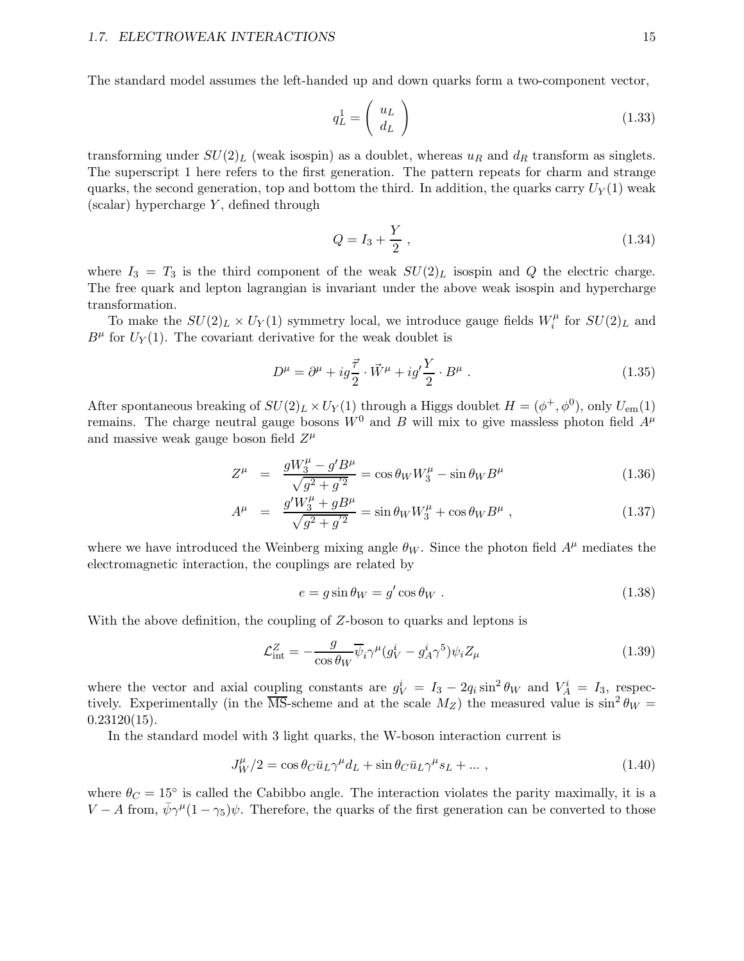The standard model assumes the left-handed up and down quarks form a two-component vector,

$$
q_L^1 = \left(\begin{array}{c} u_L \\ d_L \end{array}\right) \tag{1.33}
$$

transforming under  $SU(2)_L$  (weak isospin) as a doublet, whereas  $u_R$  and  $d_R$  transform as singlets. The superscript 1 here refers to the first generation. The pattern repeats for charm and strange quarks, the second generation, top and bottom the third. In addition, the quarks carry  $U_Y(1)$  weak  $(scalar)$  hypercharge Y, defined through

$$
Q = I_3 + \frac{Y}{2} \t{1.34}
$$

where  $I_3 = T_3$  is the third component of the weak  $SU(2)_L$  isospin and Q the electric charge. The free quark and lepton lagrangian is invariant under the above weak isospin and hypercharge transformation.

To make the  $SU(2)_L \times U_Y(1)$  symmetry local, we introduce gauge fields  $W_i^{\mu}$  $\zeta_i^{\mu}$  for  $SU(2)_L$  and  $B^{\mu}$  for  $U_Y(1)$ . The covariant derivative for the weak doublet is

$$
D^{\mu} = \partial^{\mu} + ig\frac{\vec{\tau}}{2} \cdot \vec{W}^{\mu} + ig'\frac{Y}{2} \cdot B^{\mu} . \qquad (1.35)
$$

After spontaneous breaking of  $SU(2)_L \times U_Y(1)$  through a Higgs doublet  $H = (\phi^+, \phi^0)$ , only  $U_{\text{em}}(1)$ remains. The charge neutral gauge bosons  $W^0$  and B will mix to give massless photon field  $A^{\mu}$ and massive weak gauge boson field  $Z^{\mu}$ 

$$
Z^{\mu} = \frac{gW_3^{\mu} - g'B^{\mu}}{\sqrt{g^2 + g'^2}} = \cos \theta_W W_3^{\mu} - \sin \theta_W B^{\mu}
$$
 (1.36)

$$
A^{\mu} = \frac{g'W_3^{\mu} + gB^{\mu}}{\sqrt{g^2 + g'^2}} = \sin \theta_W W_3^{\mu} + \cos \theta_W B^{\mu} , \qquad (1.37)
$$

where we have introduced the Weinberg mixing angle  $\theta_W$ . Since the photon field  $A^{\mu}$  mediates the electromagnetic interaction, the couplings are related by

$$
e = g \sin \theta_W = g' \cos \theta_W . \qquad (1.38)
$$

With the above definition, the coupling of  $Z$ -boson to quarks and leptons is

$$
\mathcal{L}_{int}^{Z} = -\frac{g}{\cos \theta_W} \overline{\psi}_i \gamma^\mu (g_V^i - g_A^i \gamma^5) \psi_i Z_\mu \tag{1.39}
$$

where the vector and axial coupling constants are  $g_V^i = I_3 - 2q_i \sin^2 \theta_W$  and  $V_A^i = I_3$ , respectively. Experimentally (in the  $\overline{\text{MS}}$ -scheme and at the scale  $M_Z$ ) the measured value is  $\sin^2 \theta_W =$  $0.23120(15)$ .

In the standard model with 3 light quarks, the W-boson interaction current is

$$
J_W^{\mu}/2 = \cos \theta_C \bar{u}_L \gamma^{\mu} d_L + \sin \theta_C \bar{u}_L \gamma^{\mu} s_L + \dots \,, \tag{1.40}
$$

where  $\theta_C = 15^{\circ}$  is called the Cabibbo angle. The interaction violates the parity maximally, it is a  $V - A$  from,  $\bar{\psi}\gamma^{\mu}(1-\gamma_5)\psi$ . Therefore, the quarks of the first generation can be converted to those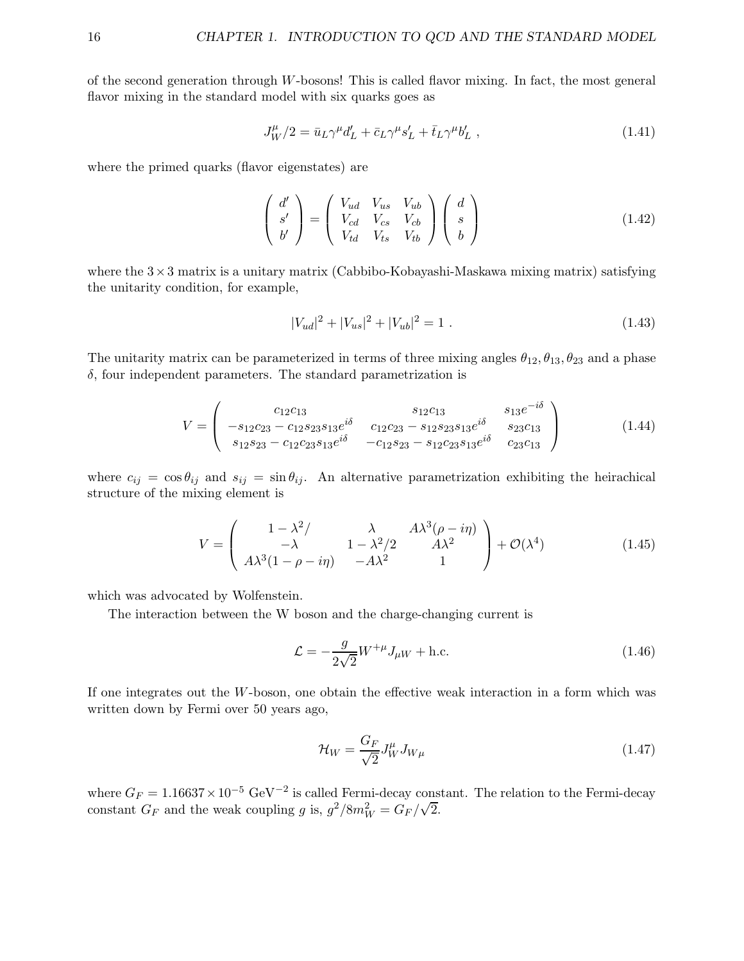of the second generation through W-bosons! This is called flavor mixing. In fact, the most general flavor mixing in the standard model with six quarks goes as

$$
J_W^{\mu}/2 = \bar{u}_L \gamma^{\mu} d'_L + \bar{c}_L \gamma^{\mu} s'_L + \bar{t}_L \gamma^{\mu} b'_L , \qquad (1.41)
$$

where the primed quarks (flavor eigenstates) are

$$
\begin{pmatrix} d' \\ s' \\ b' \end{pmatrix} = \begin{pmatrix} V_{ud} & V_{us} & V_{ub} \\ V_{cd} & V_{cs} & V_{cb} \\ V_{td} & V_{ts} & V_{tb} \end{pmatrix} \begin{pmatrix} d \\ s \\ b \end{pmatrix}
$$
 (1.42)

where the  $3\times3$  matrix is a unitary matrix (Cabbibo-Kobayashi-Maskawa mixing matrix) satisfying the unitarity condition, for example,

$$
|V_{ud}|^2 + |V_{us}|^2 + |V_{ub}|^2 = 1.
$$
\n(1.43)

The unitarity matrix can be parameterized in terms of three mixing angles  $\theta_{12}, \theta_{13}, \theta_{23}$  and a phase  $\delta$ , four independent parameters. The standard parametrization is

$$
V = \begin{pmatrix} c_{12}c_{13} & s_{12}c_{13} & s_{13}e^{-i\delta} \\ -s_{12}c_{23} - c_{12}s_{23}s_{13}e^{i\delta} & c_{12}c_{23} - s_{12}s_{23}s_{13}e^{i\delta} & s_{23}c_{13} \\ s_{12}s_{23} - c_{12}c_{23}s_{13}e^{i\delta} & -c_{12}s_{23} - s_{12}c_{23}s_{13}e^{i\delta} & c_{23}c_{13} \end{pmatrix}
$$
(1.44)

where  $c_{ij} = \cos \theta_{ij}$  and  $s_{ij} = \sin \theta_{ij}$ . An alternative parametrization exhibiting the heirachical structure of the mixing element is

$$
V = \begin{pmatrix} 1 - \lambda^2 / & \lambda & A\lambda^3(\rho - i\eta) \\ -\lambda & 1 - \lambda^2 / 2 & A\lambda^2 \\ A\lambda^3 (1 - \rho - i\eta) & -A\lambda^2 & 1 \end{pmatrix} + \mathcal{O}(\lambda^4)
$$
(1.45)

which was advocated by Wolfenstein.

The interaction between the W boson and the charge-changing current is

$$
\mathcal{L} = -\frac{g}{2\sqrt{2}} W^{+\mu} J_{\mu} W + \text{h.c.}
$$
\n(1.46)

If one integrates out the W-boson, one obtain the effective weak interaction in a form which was written down by Fermi over 50 years ago,

$$
\mathcal{H}_W = \frac{G_F}{\sqrt{2}} J_W^{\mu} J_{W\mu} \tag{1.47}
$$

where  $G_F = 1.16637 \times 10^{-5} \text{ GeV}^{-2}$  is called Fermi-decay constant. The relation to the Fermi-decay constant  $G_F$  and the weak coupling g is,  $g^2/8m_W^2 = G_F/\sqrt{2}$ .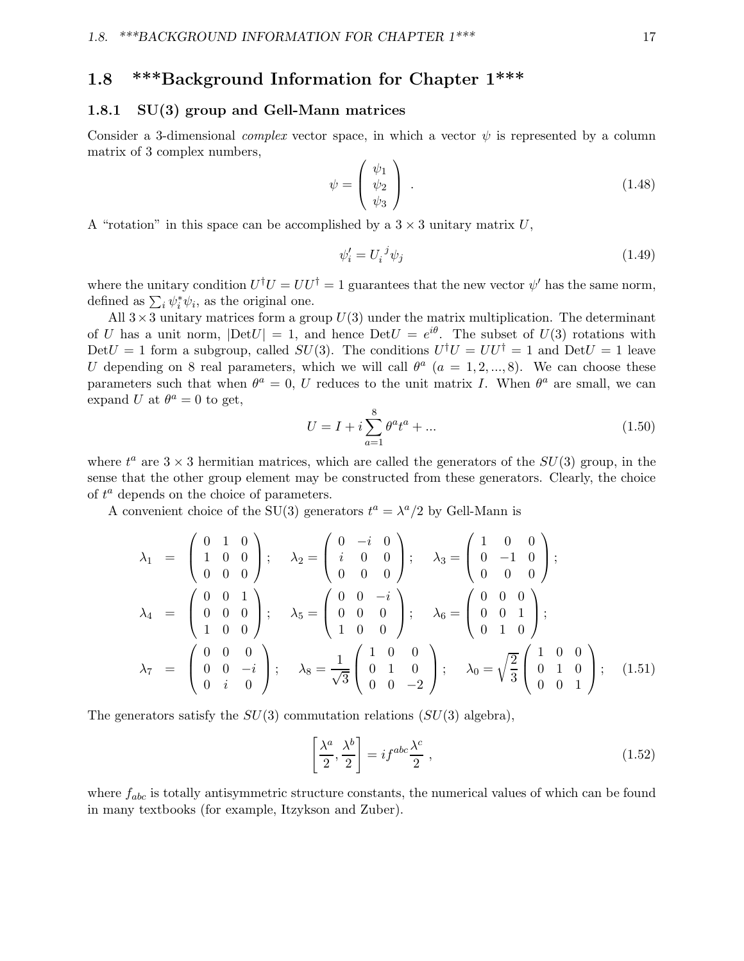## 1.8 \*\*\*Background Information for Chapter 1\*\*\*

#### 1.8.1 SU(3) group and Gell-Mann matrices

Consider a 3-dimensional *complex* vector space, in which a vector  $\psi$  is represented by a column matrix of 3 complex numbers,

$$
\psi = \begin{pmatrix} \psi_1 \\ \psi_2 \\ \psi_3 \end{pmatrix} . \tag{1.48}
$$

A "rotation" in this space can be accomplished by a  $3 \times 3$  unitary matrix U,

$$
\psi_i' = U_i^{\ j} \psi_j \tag{1.49}
$$

where the unitary condition  $U^{\dagger}U = U U^{\dagger} = 1$  guarantees that the new vector  $\psi'$  has the same norm, defined as  $\sum_i \psi_i^* \psi_i$ , as the original one.

All  $3 \times 3$  unitary matrices form a group  $U(3)$  under the matrix multiplication. The determinant of U has a unit norm,  $|\text{Det}U| = 1$ , and hence  $\text{Det}U = e^{i\theta}$ . The subset of  $U(3)$  rotations with Det  $U = 1$  form a subgroup, called  $SU(3)$ . The conditions  $U^{\dagger}U = UU^{\dagger} = 1$  and  $Det U = 1$  leave U depending on 8 real parameters, which we will call  $\theta^a$  ( $a = 1, 2, ..., 8$ ). We can choose these parameters such that when  $\theta^a = 0$ , U reduces to the unit matrix I. When  $\theta^a$  are small, we can expand U at  $\theta^a = 0$  to get,

$$
U = I + i \sum_{a=1}^{8} \theta^a t^a + \dots \tag{1.50}
$$

where  $t^a$  are  $3 \times 3$  hermitian matrices, which are called the generators of the  $SU(3)$  group, in the sense that the other group element may be constructed from these generators. Clearly, the choice of  $t^a$  depends on the choice of parameters.

A convenient choice of the SU(3) generators  $t^a = \lambda^a/2$  by Gell-Mann is

$$
\lambda_1 = \begin{pmatrix} 0 & 1 & 0 \\ 1 & 0 & 0 \\ 0 & 0 & 0 \end{pmatrix}; \quad \lambda_2 = \begin{pmatrix} 0 & -i & 0 \\ i & 0 & 0 \\ 0 & 0 & 0 \end{pmatrix}; \quad \lambda_3 = \begin{pmatrix} 1 & 0 & 0 \\ 0 & -1 & 0 \\ 0 & 0 & 0 \end{pmatrix};
$$

$$
\lambda_4 = \begin{pmatrix} 0 & 0 & 1 \\ 0 & 0 & 0 \\ 1 & 0 & 0 \end{pmatrix}; \quad \lambda_5 = \begin{pmatrix} 0 & 0 & -i \\ 0 & 0 & 0 \\ 1 & 0 & 0 \end{pmatrix}; \quad \lambda_6 = \begin{pmatrix} 0 & 0 & 0 \\ 0 & 0 & 1 \\ 0 & 1 & 0 \end{pmatrix};
$$

$$
\lambda_7 = \begin{pmatrix} 0 & 0 & 0 \\ 0 & 0 & -i \\ 0 & i & 0 \end{pmatrix}; \quad \lambda_8 = \frac{1}{\sqrt{3}} \begin{pmatrix} 1 & 0 & 0 \\ 0 & 1 & 0 \\ 0 & 0 & -2 \end{pmatrix}; \quad \lambda_0 = \sqrt{\frac{2}{3}} \begin{pmatrix} 1 & 0 & 0 \\ 0 & 1 & 0 \\ 0 & 0 & 1 \end{pmatrix}; \quad (1.51)
$$

The generators satisfy the  $SU(3)$  commutation relations  $(SU(3)$  algebra),

$$
\left[\frac{\lambda^a}{2}, \frac{\lambda^b}{2}\right] = i f^{abc} \frac{\lambda^c}{2} \,,\tag{1.52}
$$

where  $f_{abc}$  is totally antisymmetric structure constants, the numerical values of which can be found in many textbooks (for example, Itzykson and Zuber).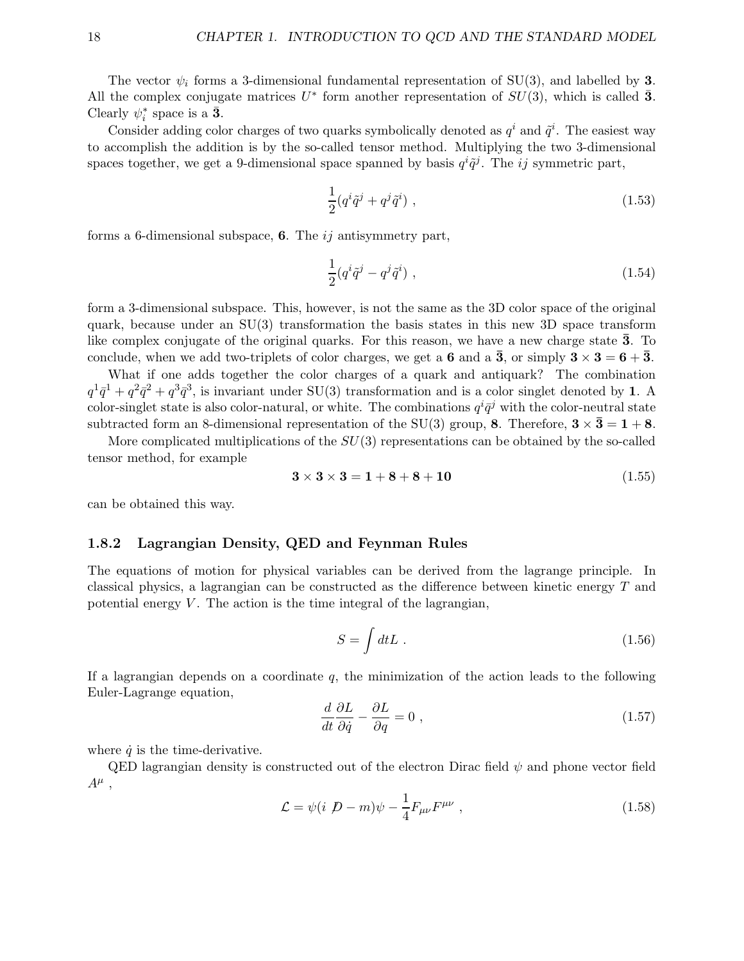The vector  $\psi_i$  forms a 3-dimensional fundamental representation of SU(3), and labelled by 3. All the complex conjugate matrices  $U^*$  form another representation of  $SU(3)$ , which is called  $\bar{3}$ . Clearly  $\psi_i^*$  space is a  $\bar{\mathbf{3}}$ .

Consider adding color charges of two quarks symbolically denoted as  $q^i$  and  $\tilde{q}^i$ . The easiest way to accomplish the addition is by the so-called tensor method. Multiplying the two 3-dimensional spaces together, we get a 9-dimensional space spanned by basis  $q^{i}\tilde{q}^{j}$ . The ij symmetric part,

$$
\frac{1}{2}(q^i\tilde{q}^j + q^j\tilde{q}^i) , \qquad (1.53)
$$

forms a 6-dimensional subspace, **6**. The  $ij$  antisymmetry part,

$$
\frac{1}{2}(q^i\tilde{q}^j - q^j\tilde{q}^i) , \qquad (1.54)
$$

form a 3-dimensional subspace. This, however, is not the same as the 3D color space of the original quark, because under an SU(3) transformation the basis states in this new 3D space transform like complex conjugate of the original quarks. For this reason, we have a new charge state  $\bar{3}$ . To conclude, when we add two-triplets of color charges, we get a 6 and a  $\bar{3}$ , or simply  $3 \times 3 = 6 + \bar{3}$ .

What if one adds together the color charges of a quark and antiquark? The combination  $q^1\bar{q}^1 + q^2\bar{q}^2 + q^3\bar{q}^3$ , is invariant under SU(3) transformation and is a color singlet denoted by 1. A color-singlet state is also color-natural, or white. The combinations  $q^{i}\bar{q}^{j}$  with the color-neutral state subtracted form an 8-dimensional representation of the SU(3) group, 8. Therefore,  $3 \times 3 = 1 + 8$ .

More complicated multiplications of the  $SU(3)$  representations can be obtained by the so-called tensor method, for example

$$
3 \times 3 \times 3 = 1 + 8 + 8 + 10 \tag{1.55}
$$

can be obtained this way.

#### 1.8.2 Lagrangian Density, QED and Feynman Rules

The equations of motion for physical variables can be derived from the lagrange principle. In classical physics, a lagrangian can be constructed as the difference between kinetic energy T and potential energy  $V$ . The action is the time integral of the lagrangian,

$$
S = \int dt L \tag{1.56}
$$

If a lagrangian depends on a coordinate  $q$ , the minimization of the action leads to the following Euler-Lagrange equation,

$$
\frac{d}{dt}\frac{\partial L}{\partial \dot{q}} - \frac{\partial L}{\partial q} = 0 \tag{1.57}
$$

where  $\dot{q}$  is the time-derivative.

QED lagrangian density is constructed out of the electron Dirac field  $\psi$  and phone vector field  $A^{\mu}$ ,

$$
\mathcal{L} = \psi(i \not D - m)\psi - \frac{1}{4}F_{\mu\nu}F^{\mu\nu} \,, \tag{1.58}
$$